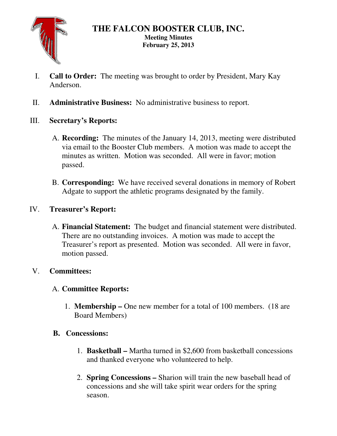

### **THE FALCON BOOSTER CLUB, INC. Meeting Minutes February 25, 2013**

- I. **Call to Order:** The meeting was brought to order by President, Mary Kay Anderson.
- II. **Administrative Business:** No administrative business to report.
- III. **Secretary's Reports:** 
	- A. **Recording:** The minutes of the January 14, 2013, meeting were distributed via email to the Booster Club members. A motion was made to accept the minutes as written. Motion was seconded. All were in favor; motion passed.
	- B. **Corresponding:** We have received several donations in memory of Robert Adgate to support the athletic programs designated by the family.

### IV. **Treasurer's Report:**

A. **Financial Statement:** The budget and financial statement were distributed. There are no outstanding invoices. A motion was made to accept the Treasurer's report as presented. Motion was seconded. All were in favor, motion passed.

## V. **Committees:**

## A. **Committee Reports:**

1. **Membership –** One new member for a total of 100 members. (18 are Board Members)

### **B. Concessions:**

- 1. **Basketball** Martha turned in \$2,600 from basketball concessions and thanked everyone who volunteered to help.
- 2. **Spring Concessions** Sharion will train the new baseball head of concessions and she will take spirit wear orders for the spring season.